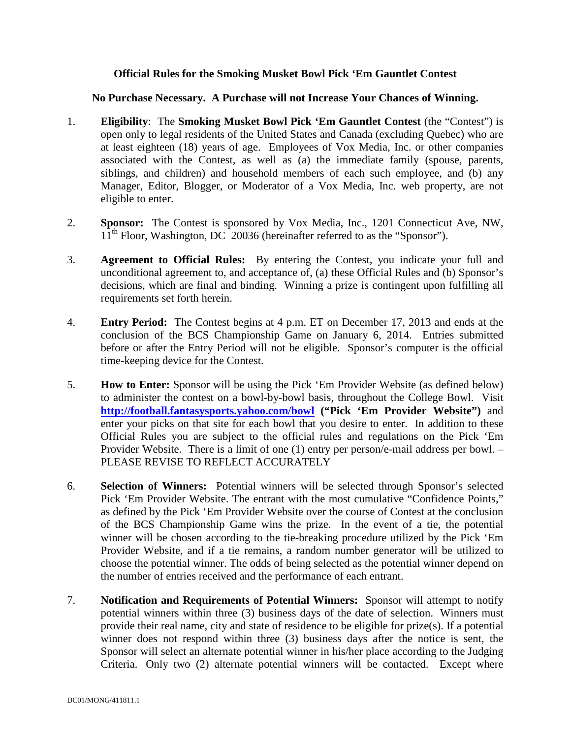## **Official Rules for the Smoking Musket Bowl Pick 'Em Gauntlet Contest**

## **No Purchase Necessary. A Purchase will not Increase Your Chances of Winning.**

- 1. **Eligibility**: The **Smoking Musket Bowl Pick 'Em Gauntlet Contest** (the "Contest") is open only to legal residents of the United States and Canada (excluding Quebec) who are at least eighteen (18) years of age. Employees of Vox Media, Inc. or other companies associated with the Contest, as well as (a) the immediate family (spouse, parents, siblings, and children) and household members of each such employee, and (b) any Manager, Editor, Blogger, or Moderator of a Vox Media, Inc. web property, are not eligible to enter.
- 2. **Sponsor:** The Contest is sponsored by Vox Media, Inc., 1201 Connecticut Ave, NW, 11<sup>th</sup> Floor, Washington, DC 20036 (hereinafter referred to as the "Sponsor").
- 3. **Agreement to Official Rules:** By entering the Contest, you indicate your full and unconditional agreement to, and acceptance of, (a) these Official Rules and (b) Sponsor's decisions, which are final and binding. Winning a prize is contingent upon fulfilling all requirements set forth herein.
- 4. **Entry Period:** The Contest begins at 4 p.m. ET on December 17, 2013 and ends at the conclusion of the BCS Championship Game on January 6, 2014. Entries submitted before or after the Entry Period will not be eligible. Sponsor's computer is the official time-keeping device for the Contest.
- 5. **How to Enter:** Sponsor will be using the Pick 'Em Provider Website (as defined below) to administer the contest on a bowl-by-bowl basis, throughout the College Bowl. Visit **http://football.fantasysports.yahoo.com/bowl ("Pick 'Em Provider Website")** and enter your picks on that site for each bowl that you desire to enter. In addition to these Official Rules you are subject to the official rules and regulations on the Pick 'Em Provider Website. There is a limit of one (1) entry per person/e-mail address per bowl. – PLEASE REVISE TO REFLECT ACCURATELY
- 6. **Selection of Winners:** Potential winners will be selected through Sponsor's selected Pick 'Em Provider Website. The entrant with the most cumulative "Confidence Points," as defined by the Pick 'Em Provider Website over the course of Contest at the conclusion of the BCS Championship Game wins the prize. In the event of a tie, the potential winner will be chosen according to the tie-breaking procedure utilized by the Pick 'Em Provider Website, and if a tie remains, a random number generator will be utilized to choose the potential winner. The odds of being selected as the potential winner depend on the number of entries received and the performance of each entrant.
- 7. **Notification and Requirements of Potential Winners:** Sponsor will attempt to notify potential winners within three (3) business days of the date of selection. Winners must provide their real name, city and state of residence to be eligible for prize(s). If a potential winner does not respond within three (3) business days after the notice is sent, the Sponsor will select an alternate potential winner in his/her place according to the Judging Criteria. Only two (2) alternate potential winners will be contacted. Except where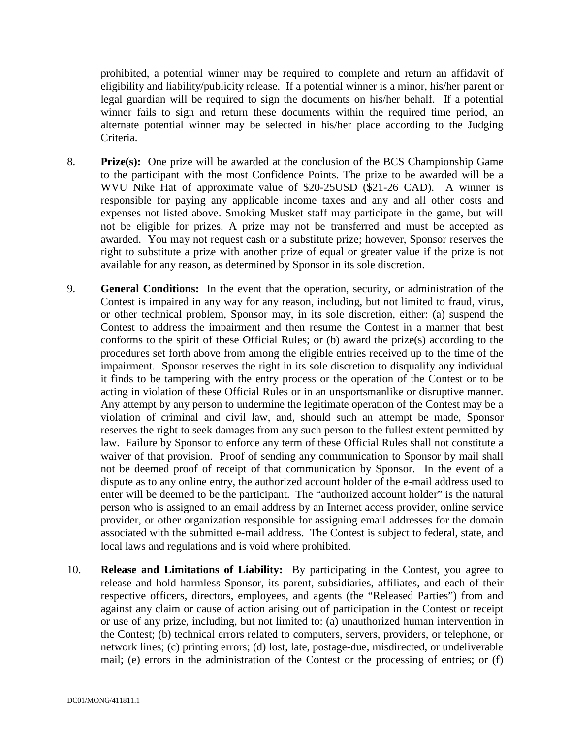prohibited, a potential winner may be required to complete and return an affidavit of eligibility and liability/publicity release. If a potential winner is a minor, his/her parent or legal guardian will be required to sign the documents on his/her behalf. If a potential winner fails to sign and return these documents within the required time period, an alternate potential winner may be selected in his/her place according to the Judging Criteria.

- 8. **Prize(s):** One prize will be awarded at the conclusion of the BCS Championship Game to the participant with the most Confidence Points. The prize to be awarded will be a WVU Nike Hat of approximate value of \$20-25USD (\$21-26 CAD). A winner is responsible for paying any applicable income taxes and any and all other costs and expenses not listed above. Smoking Musket staff may participate in the game, but will not be eligible for prizes. A prize may not be transferred and must be accepted as awarded. You may not request cash or a substitute prize; however, Sponsor reserves the right to substitute a prize with another prize of equal or greater value if the prize is not available for any reason, as determined by Sponsor in its sole discretion.
- 9. **General Conditions:** In the event that the operation, security, or administration of the Contest is impaired in any way for any reason, including, but not limited to fraud, virus, or other technical problem, Sponsor may, in its sole discretion, either: (a) suspend the Contest to address the impairment and then resume the Contest in a manner that best conforms to the spirit of these Official Rules; or (b) award the prize(s) according to the procedures set forth above from among the eligible entries received up to the time of the impairment. Sponsor reserves the right in its sole discretion to disqualify any individual it finds to be tampering with the entry process or the operation of the Contest or to be acting in violation of these Official Rules or in an unsportsmanlike or disruptive manner. Any attempt by any person to undermine the legitimate operation of the Contest may be a violation of criminal and civil law, and, should such an attempt be made, Sponsor reserves the right to seek damages from any such person to the fullest extent permitted by law. Failure by Sponsor to enforce any term of these Official Rules shall not constitute a waiver of that provision. Proof of sending any communication to Sponsor by mail shall not be deemed proof of receipt of that communication by Sponsor. In the event of a dispute as to any online entry, the authorized account holder of the e-mail address used to enter will be deemed to be the participant. The "authorized account holder" is the natural person who is assigned to an email address by an Internet access provider, online service provider, or other organization responsible for assigning email addresses for the domain associated with the submitted e-mail address. The Contest is subject to federal, state, and local laws and regulations and is void where prohibited.
- 10. **Release and Limitations of Liability:** By participating in the Contest, you agree to release and hold harmless Sponsor, its parent, subsidiaries, affiliates, and each of their respective officers, directors, employees, and agents (the "Released Parties") from and against any claim or cause of action arising out of participation in the Contest or receipt or use of any prize, including, but not limited to: (a) unauthorized human intervention in the Contest; (b) technical errors related to computers, servers, providers, or telephone, or network lines; (c) printing errors; (d) lost, late, postage-due, misdirected, or undeliverable mail; (e) errors in the administration of the Contest or the processing of entries; or (f)